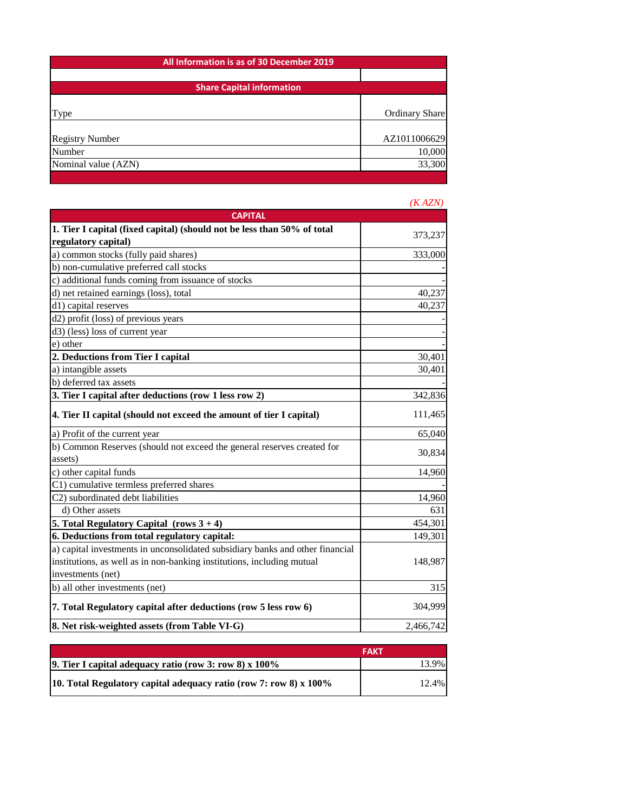| All Information is as of 30 December 2019 |                |  |
|-------------------------------------------|----------------|--|
|                                           |                |  |
| <b>Share Capital information</b>          |                |  |
|                                           |                |  |
| Type                                      | Ordinary Share |  |
|                                           |                |  |
| <b>Registry Number</b>                    | AZ1011006629   |  |
| Number                                    | 10,000         |  |
| Nominal value (AZN)                       | 33,300         |  |
|                                           |                |  |

|                                                                               | (KAZN)    |
|-------------------------------------------------------------------------------|-----------|
| <b>CAPITAL</b>                                                                |           |
| 1. Tier I capital (fixed capital) (should not be less than 50% of total       | 373,237   |
| regulatory capital)                                                           |           |
| a) common stocks (fully paid shares)                                          | 333,000   |
| b) non-cumulative preferred call stocks                                       |           |
| c) additional funds coming from issuance of stocks                            |           |
| d) net retained earnings (loss), total                                        | 40,237    |
| d1) capital reserves                                                          | 40,237    |
| d2) profit (loss) of previous years                                           |           |
| d3) (less) loss of current year                                               |           |
| e) other                                                                      |           |
| 2. Deductions from Tier I capital                                             | 30,401    |
| a) intangible assets                                                          | 30,401    |
| b) deferred tax assets                                                        |           |
| 3. Tier I capital after deductions (row 1 less row 2)                         | 342,836   |
| 4. Tier II capital (should not exceed the amount of tier I capital)           | 111,465   |
| a) Profit of the current year                                                 | 65,040    |
| b) Common Reserves (should not exceed the general reserves created for        |           |
| assets)                                                                       | 30,834    |
| c) other capital funds                                                        | 14,960    |
| C1) cumulative termless preferred shares                                      |           |
| C2) subordinated debt liabilities                                             | 14,960    |
| d) Other assets                                                               | 631       |
| 5. Total Regulatory Capital (rows $3 + 4$ )                                   | 454,301   |
| 6. Deductions from total regulatory capital:                                  | 149,301   |
| a) capital investments in unconsolidated subsidiary banks and other financial |           |
| institutions, as well as in non-banking institutions, including mutual        | 148,987   |
| investments (net)                                                             |           |
| b) all other investments (net)                                                | 315       |
| 7. Total Regulatory capital after deductions (row 5 less row 6)               | 304,999   |
| 8. Net risk-weighted assets (from Table VI-G)                                 | 2,466,742 |

|                                                                   | FAKT  |
|-------------------------------------------------------------------|-------|
| 9. Tier I capital adequacy ratio (row 3: row 8) $x$ 100%          | 13.9% |
| 10. Total Regulatory capital adequacy ratio (row 7: row 8) x 100% | 12.4% |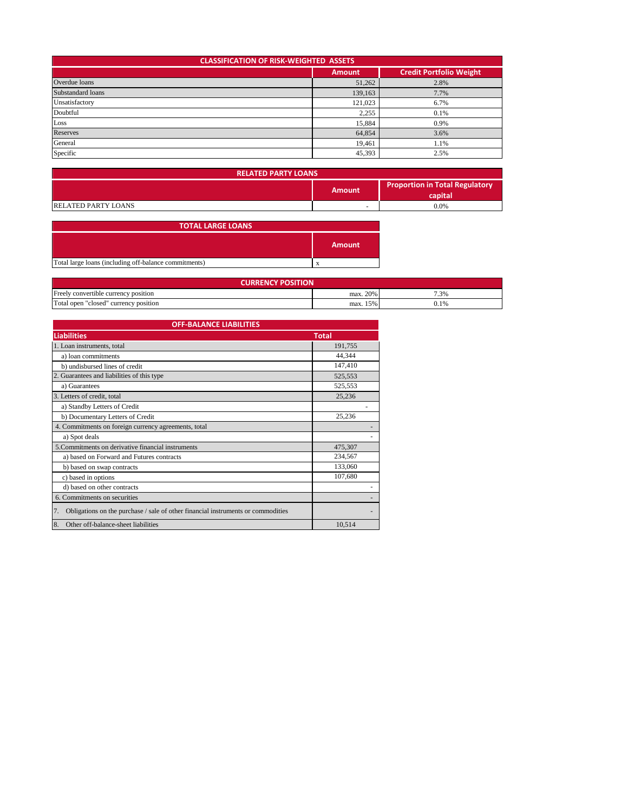| <b>CLASSIFICATION OF RISK-WEIGHTED ASSETS</b>   |         |      |  |  |  |
|-------------------------------------------------|---------|------|--|--|--|
| <b>Credit Portfolio Weight</b><br><b>Amount</b> |         |      |  |  |  |
| Overdue loans                                   | 51,262  | 2.8% |  |  |  |
| Substandard loans                               | 139,163 | 7.7% |  |  |  |
| Unsatisfactory                                  | 121,023 | 6.7% |  |  |  |
| Doubtful                                        | 2,255   | 0.1% |  |  |  |
| Loss                                            | 15,884  | 0.9% |  |  |  |
| <b>Reserves</b>                                 | 64,854  | 3.6% |  |  |  |
| General                                         | 19,461  | 1.1% |  |  |  |
| Specific                                        | 45,393  | 2.5% |  |  |  |

| <b>RELATED PARTY LOANS</b> |                          |                                                  |
|----------------------------|--------------------------|--------------------------------------------------|
| Amount                     |                          | <b>Proportion in Total Regulatory</b><br>capital |
| <b>RELATED PARTY LOANS</b> | $\overline{\phantom{a}}$ | 0.0%                                             |

| <b>TOTAL LARGE LOANS</b>                              |               |
|-------------------------------------------------------|---------------|
|                                                       | <b>Amount</b> |
| Total large loans (including off-balance commitments) | л             |

| <b>CURRENCY POSITION</b>              |          |      |  |  |
|---------------------------------------|----------|------|--|--|
| Freely convertible currency position  | max. 20% | 7.3% |  |  |
| Total open "closed" currency position | max. 15% |      |  |  |

| <b>OFF-BALANCE LIABILITIES</b>                                                         |              |  |
|----------------------------------------------------------------------------------------|--------------|--|
| <b>Liabilities</b>                                                                     | <b>Total</b> |  |
| 1. Loan instruments, total                                                             | 191,755      |  |
| a) loan commitments                                                                    | 44,344       |  |
| b) undisbursed lines of credit                                                         | 147,410      |  |
| 2. Guarantees and liabilities of this type                                             | 525,553      |  |
| a) Guarantees                                                                          | 525,553      |  |
| 3. Letters of credit, total                                                            | 25,236       |  |
| a) Standby Letters of Credit                                                           |              |  |
| b) Documentary Letters of Credit                                                       | 25,236       |  |
| 4. Commitments on foreign currency agreements, total                                   |              |  |
| a) Spot deals                                                                          |              |  |
| 5. Commitments on derivative financial instruments                                     | 475,307      |  |
| a) based on Forward and Futures contracts                                              | 234,567      |  |
| b) based on swap contracts                                                             | 133,060      |  |
| c) based in options                                                                    | 107,680      |  |
| d) based on other contracts                                                            |              |  |
| 6. Commitments on securities                                                           |              |  |
| Obligations on the purchase / sale of other financial instruments or commodities<br>7. |              |  |
| 8.<br>Other off-balance-sheet liabilities                                              | 10.514       |  |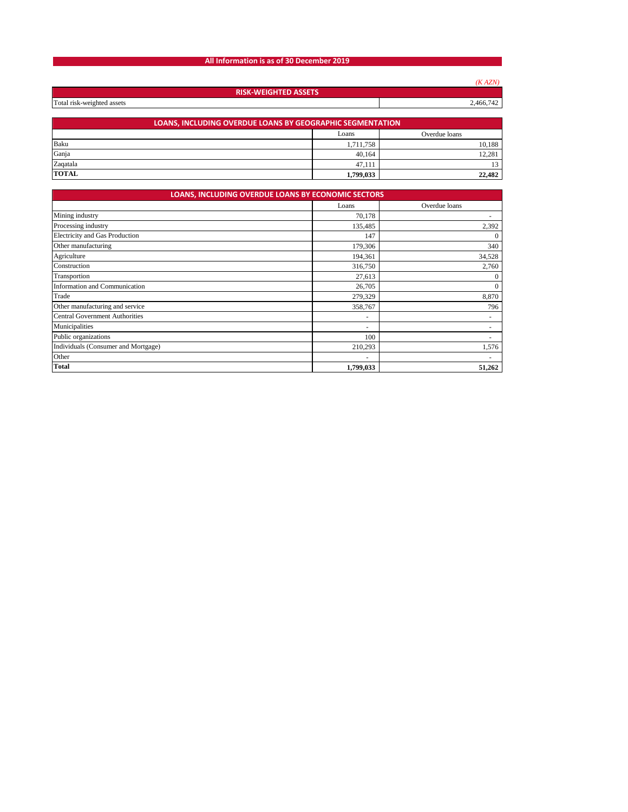## **All Information is as of 30 December 2019**

|                                                                  |           | (KAZN) |  |  |
|------------------------------------------------------------------|-----------|--------|--|--|
| <b>RISK-WEIGHTED ASSETS</b>                                      |           |        |  |  |
| Total risk-weighted assets<br>2,466,742                          |           |        |  |  |
|                                                                  |           |        |  |  |
| <b>LOANS, INCLUDING OVERDUE LOANS BY GEOGRAPHIC SEGMENTATION</b> |           |        |  |  |
| Overdue loans<br>Loans                                           |           |        |  |  |
| Baku                                                             | 1,711,758 | 10,188 |  |  |
| Ganja                                                            | 40,164    | 12,281 |  |  |
| Zaqatala                                                         | 47,111    | 13     |  |  |
| <b>TOTAL</b>                                                     | 1,799,033 | 22,482 |  |  |

| <b>LOANS, INCLUDING OVERDUE LOANS BY ECONOMIC SECTORS</b> |           |                          |  |  |
|-----------------------------------------------------------|-----------|--------------------------|--|--|
|                                                           | Loans     | Overdue loans            |  |  |
| Mining industry                                           | 70,178    |                          |  |  |
| Processing industry                                       | 135,485   | 2,392                    |  |  |
| Electricity and Gas Production                            | 147       | $\mathbf{0}$             |  |  |
| Other manufacturing                                       | 179,306   | 340                      |  |  |
| Agriculture                                               | 194,361   | 34,528                   |  |  |
| Construction                                              | 316,750   | 2,760                    |  |  |
| Transportion                                              | 27,613    | $\mathbf{0}$             |  |  |
| Information and Communication                             | 26,705    | $\mathbf{0}$             |  |  |
| Trade                                                     | 279,329   | 8,870                    |  |  |
| Other manufacturing and service                           | 358,767   | 796                      |  |  |
| <b>Central Government Authorities</b>                     | ۰         | $\overline{\phantom{a}}$ |  |  |
| Municipalities                                            | ۰         |                          |  |  |
| Public organizations                                      | 100       |                          |  |  |
| Individuals (Consumer and Mortgage)                       | 210,293   | 1,576                    |  |  |
| Other                                                     | ٠         |                          |  |  |
| <b>Total</b>                                              | 1,799,033 | 51,262                   |  |  |